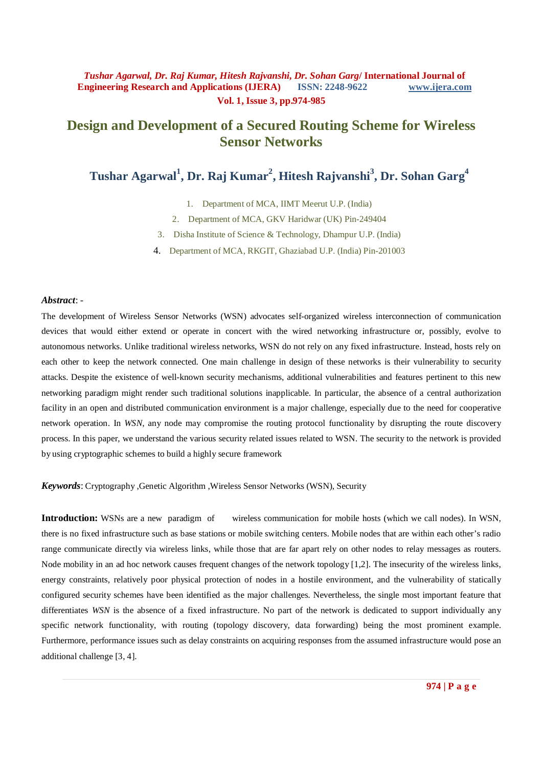# **Design and Development of a Secured Routing Scheme for Wireless Sensor Networks**

**Tushar Agarwal<sup>1</sup> , Dr. Raj Kumar<sup>2</sup> , Hitesh Rajvanshi<sup>3</sup> , Dr. Sohan Garg<sup>4</sup>**

1. Department of MCA, IIMT Meerut U.P. (India)

2. Department of MCA, GKV Haridwar (UK) Pin-249404

3. Disha Institute of Science & Technology, Dhampur U.P. (India)

4. Department of MCA, RKGIT, Ghaziabad U.P. (India) Pin-201003

### *Abstract*: -

The development of Wireless Sensor Networks (WSN) advocates self-organized wireless interconnection of communication devices that would either extend or operate in concert with the wired networking infrastructure or, possibly, evolve to autonomous networks. Unlike traditional wireless networks, WSN do not rely on any fixed infrastructure. Instead, hosts rely on each other to keep the network connected. One main challenge in design of these networks is their vulnerability to security attacks. Despite the existence of well-known security mechanisms, additional vulnerabilities and features pertinent to this new networking paradigm might render such traditional solutions inapplicable. In particular, the absence of a central authorization facility in an open and distributed communication environment is a major challenge, especially due to the need for cooperative network operation. In *WSN*, any node may compromise the routing protocol functionality by disrupting the route discovery process. In this paper, we understand the various security related issues related to WSN. The security to the network is provided by using cryptographic schemes to build a highly secure framework

*Keywords*: Cryptography ,Genetic Algorithm ,Wireless Sensor Networks (WSN), Security

**Introduction:** WSNs are a new paradigm of wireless communication for mobile hosts (which we call nodes). In WSN, there is no fixed infrastructure such as base stations or mobile switching centers. Mobile nodes that are within each other's radio range communicate directly via wireless links, while those that are far apart rely on other nodes to relay messages as routers. Node mobility in an ad hoc network causes frequent changes of the network topology [1,2]. The insecurity of the wireless links, energy constraints, relatively poor physical protection of nodes in a hostile environment, and the vulnerability of statically configured security schemes have been identified as the major challenges. Nevertheless, the single most important feature that differentiates *WSN* is the absence of a fixed infrastructure. No part of the network is dedicated to support individually any specific network functionality, with routing (topology discovery, data forwarding) being the most prominent example. Furthermore, performance issues such as delay constraints on acquiring responses from the assumed infrastructure would pose an additional challenge [3, 4].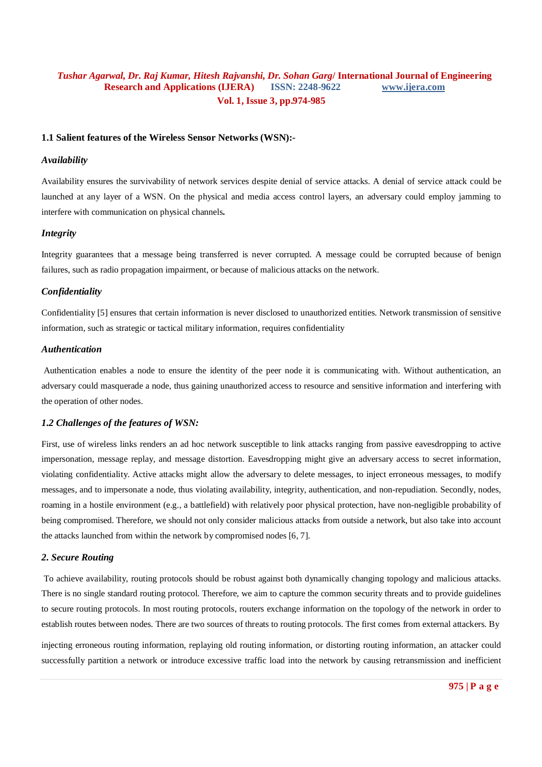### **1.1 Salient features of the Wireless Sensor Networks (WSN):-**

### *Availability*

Availability ensures the survivability of network services despite denial of service attacks. A denial of service attack could be launched at any layer of a WSN. On the physical and media access control layers, an adversary could employ jamming to interfere with communication on physical channels**.**

### *Integrity*

Integrity guarantees that a message being transferred is never corrupted. A message could be corrupted because of benign failures, such as radio propagation impairment, or because of malicious attacks on the network.

#### *Confidentiality*

Confidentiality [5] ensures that certain information is never disclosed to unauthorized entities. Network transmission of sensitive information, such as strategic or tactical military information, requires confidentiality

#### *Authentication*

Authentication enables a node to ensure the identity of the peer node it is communicating with. Without authentication, an adversary could masquerade a node, thus gaining unauthorized access to resource and sensitive information and interfering with the operation of other nodes.

### *1.2 Challenges of the features of WSN:*

First, use of wireless links renders an ad hoc network susceptible to link attacks ranging from passive eavesdropping to active impersonation, message replay, and message distortion. Eavesdropping might give an adversary access to secret information, violating confidentiality. Active attacks might allow the adversary to delete messages, to inject erroneous messages, to modify messages, and to impersonate a node, thus violating availability, integrity, authentication, and non-repudiation. Secondly, nodes, roaming in a hostile environment (e.g., a battlefield) with relatively poor physical protection, have non-negligible probability of being compromised. Therefore, we should not only consider malicious attacks from outside a network, but also take into account the attacks launched from within the network by compromised nodes [6, 7].

### *2. Secure Routing*

To achieve availability, routing protocols should be robust against both dynamically changing topology and malicious attacks. There is no single standard routing protocol. Therefore, we aim to capture the common security threats and to provide guidelines to secure routing protocols. In most routing protocols, routers exchange information on the topology of the network in order to establish routes between nodes. There are two sources of threats to routing protocols. The first comes from external attackers. By

injecting erroneous routing information, replaying old routing information, or distorting routing information, an attacker could successfully partition a network or introduce excessive traffic load into the network by causing retransmission and inefficient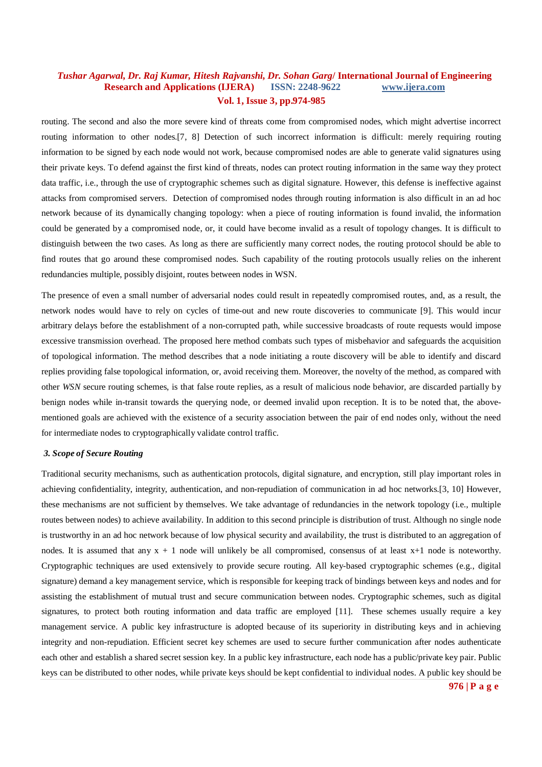routing. The second and also the more severe kind of threats come from compromised nodes, which might advertise incorrect routing information to other nodes.[7, 8] Detection of such incorrect information is difficult: merely requiring routing information to be signed by each node would not work, because compromised nodes are able to generate valid signatures using their private keys. To defend against the first kind of threats, nodes can protect routing information in the same way they protect data traffic, i.e., through the use of cryptographic schemes such as digital signature. However, this defense is ineffective against attacks from compromised servers. Detection of compromised nodes through routing information is also difficult in an ad hoc network because of its dynamically changing topology: when a piece of routing information is found invalid, the information could be generated by a compromised node, or, it could have become invalid as a result of topology changes. It is difficult to distinguish between the two cases. As long as there are sufficiently many correct nodes, the routing protocol should be able to find routes that go around these compromised nodes. Such capability of the routing protocols usually relies on the inherent redundancies multiple, possibly disjoint, routes between nodes in WSN.

The presence of even a small number of adversarial nodes could result in repeatedly compromised routes, and, as a result, the network nodes would have to rely on cycles of time-out and new route discoveries to communicate [9]. This would incur arbitrary delays before the establishment of a non-corrupted path, while successive broadcasts of route requests would impose excessive transmission overhead. The proposed here method combats such types of misbehavior and safeguards the acquisition of topological information. The method describes that a node initiating a route discovery will be able to identify and discard replies providing false topological information, or, avoid receiving them. Moreover, the novelty of the method, as compared with other *WSN* secure routing schemes, is that false route replies, as a result of malicious node behavior, are discarded partially by benign nodes while in-transit towards the querying node, or deemed invalid upon reception. It is to be noted that, the abovementioned goals are achieved with the existence of a security association between the pair of end nodes only, without the need for intermediate nodes to cryptographically validate control traffic.

#### *3. Scope of Secure Routing*

Traditional security mechanisms, such as authentication protocols, digital signature, and encryption, still play important roles in achieving confidentiality, integrity, authentication, and non-repudiation of communication in ad hoc networks.[3, 10] However, these mechanisms are not sufficient by themselves. We take advantage of redundancies in the network topology (i.e., multiple routes between nodes) to achieve availability. In addition to this second principle is distribution of trust. Although no single node is trustworthy in an ad hoc network because of low physical security and availability, the trust is distributed to an aggregation of nodes. It is assumed that any  $x + 1$  node will unlikely be all compromised, consensus of at least  $x+1$  node is noteworthy. Cryptographic techniques are used extensively to provide secure routing. All key-based cryptographic schemes (e.g., digital signature) demand a key management service, which is responsible for keeping track of bindings between keys and nodes and for assisting the establishment of mutual trust and secure communication between nodes. Cryptographic schemes, such as digital signatures, to protect both routing information and data traffic are employed [11]. These schemes usually require a key management service. A public key infrastructure is adopted because of its superiority in distributing keys and in achieving integrity and non-repudiation. Efficient secret key schemes are used to secure further communication after nodes authenticate each other and establish a shared secret session key. In a public key infrastructure, each node has a public/private key pair. Public keys can be distributed to other nodes, while private keys should be kept confidential to individual nodes. A public key should be

**976 | P a g e**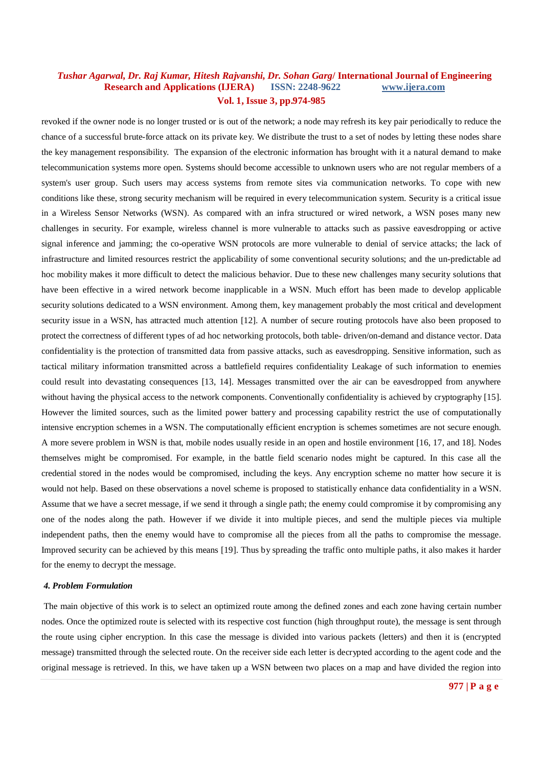revoked if the owner node is no longer trusted or is out of the network; a node may refresh its key pair periodically to reduce the chance of a successful brute-force attack on its private key. We distribute the trust to a set of nodes by letting these nodes share the key management responsibility. The expansion of the electronic information has brought with it a natural demand to make telecommunication systems more open. Systems should become accessible to unknown users who are not regular members of a system's user group. Such users may access systems from remote sites via communication networks. To cope with new conditions like these, strong security mechanism will be required in every telecommunication system. Security is a critical issue in a Wireless Sensor Networks (WSN). As compared with an infra structured or wired network, a WSN poses many new challenges in security. For example, wireless channel is more vulnerable to attacks such as passive eavesdropping or active signal inference and jamming; the co-operative WSN protocols are more vulnerable to denial of service attacks; the lack of infrastructure and limited resources restrict the applicability of some conventional security solutions; and the un-predictable ad hoc mobility makes it more difficult to detect the malicious behavior. Due to these new challenges many security solutions that have been effective in a wired network become inapplicable in a WSN. Much effort has been made to develop applicable security solutions dedicated to a WSN environment. Among them, key management probably the most critical and development security issue in a WSN, has attracted much attention [12]. A number of secure routing protocols have also been proposed to protect the correctness of different types of ad hoc networking protocols, both table- driven/on-demand and distance vector. Data confidentiality is the protection of transmitted data from passive attacks, such as eavesdropping. Sensitive information, such as tactical military information transmitted across a battlefield requires confidentiality Leakage of such information to enemies could result into devastating consequences [13, 14]. Messages transmitted over the air can be eavesdropped from anywhere without having the physical access to the network components. Conventionally confidentiality is achieved by cryptography [15]. However the limited sources, such as the limited power battery and processing capability restrict the use of computationally intensive encryption schemes in a WSN. The computationally efficient encryption is schemes sometimes are not secure enough. A more severe problem in WSN is that, mobile nodes usually reside in an open and hostile environment [16, 17, and 18]. Nodes themselves might be compromised. For example, in the battle field scenario nodes might be captured. In this case all the credential stored in the nodes would be compromised, including the keys. Any encryption scheme no matter how secure it is would not help. Based on these observations a novel scheme is proposed to statistically enhance data confidentiality in a WSN. Assume that we have a secret message, if we send it through a single path; the enemy could compromise it by compromising any one of the nodes along the path. However if we divide it into multiple pieces, and send the multiple pieces via multiple independent paths, then the enemy would have to compromise all the pieces from all the paths to compromise the message. Improved security can be achieved by this means [19]. Thus by spreading the traffic onto multiple paths, it also makes it harder for the enemy to decrypt the message.

#### *4. Problem Formulation*

The main objective of this work is to select an optimized route among the defined zones and each zone having certain number nodes. Once the optimized route is selected with its respective cost function (high throughput route), the message is sent through the route using cipher encryption. In this case the message is divided into various packets (letters) and then it is (encrypted message) transmitted through the selected route. On the receiver side each letter is decrypted according to the agent code and the original message is retrieved. In this, we have taken up a WSN between two places on a map and have divided the region into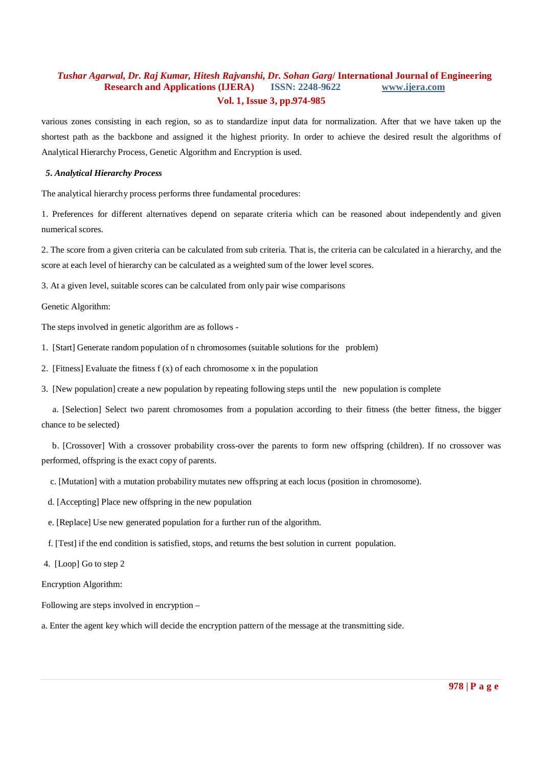various zones consisting in each region, so as to standardize input data for normalization. After that we have taken up the shortest path as the backbone and assigned it the highest priority. In order to achieve the desired result the algorithms of Analytical Hierarchy Process, Genetic Algorithm and Encryption is used.

### *5. Analytical Hierarchy Process*

The analytical hierarchy process performs three fundamental procedures:

1. Preferences for different alternatives depend on separate criteria which can be reasoned about independently and given numerical scores.

2. The score from a given criteria can be calculated from sub criteria. That is, the criteria can be calculated in a hierarchy, and the score at each level of hierarchy can be calculated as a weighted sum of the lower level scores.

3. At a given level, suitable scores can be calculated from only pair wise comparisons

Genetic Algorithm:

The steps involved in genetic algorithm are as follows -

1. [Start] Generate random population of n chromosomes (suitable solutions for the problem)

2. [Fitness] Evaluate the fitness  $f(x)$  of each chromosome x in the population

3. [New population] create a new population by repeating following steps until the new population is complete

 a. [Selection] Select two parent chromosomes from a population according to their fitness (the better fitness, the bigger chance to be selected)

 b. [Crossover] With a crossover probability cross-over the parents to form new offspring (children). If no crossover was performed, offspring is the exact copy of parents.

c. [Mutation] with a mutation probability mutates new offspring at each locus (position in chromosome).

- d. [Accepting] Place new offspring in the new population
- e. [Replace] Use new generated population for a further run of the algorithm.
- f. [Test] if the end condition is satisfied, stops, and returns the best solution in current population.
- 4. [Loop] Go to step 2

Encryption Algorithm:

Following are steps involved in encryption –

a. Enter the agent key which will decide the encryption pattern of the message at the transmitting side.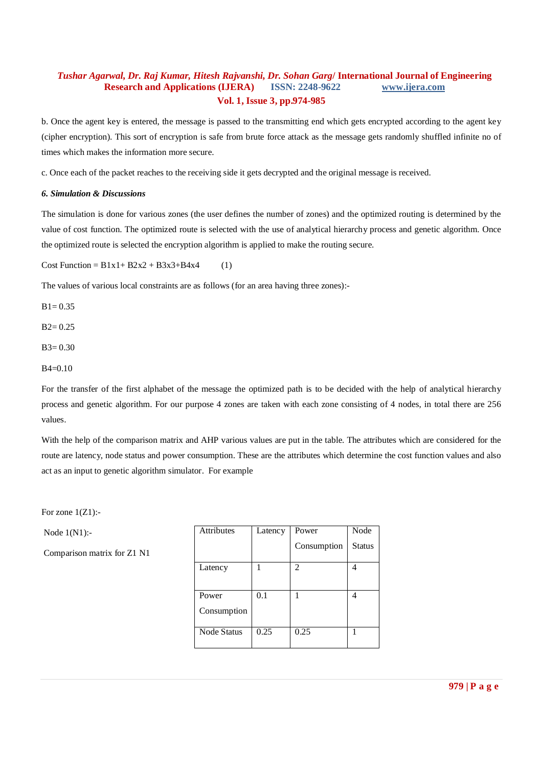b. Once the agent key is entered, the message is passed to the transmitting end which gets encrypted according to the agent key (cipher encryption). This sort of encryption is safe from brute force attack as the message gets randomly shuffled infinite no of times which makes the information more secure.

c. Once each of the packet reaches to the receiving side it gets decrypted and the original message is received.

### *6. Simulation & Discussions*

The simulation is done for various zones (the user defines the number of zones) and the optimized routing is determined by the value of cost function. The optimized route is selected with the use of analytical hierarchy process and genetic algorithm. Once the optimized route is selected the encryption algorithm is applied to make the routing secure.

Cost Function =  $B1x1 + B2x2 + B3x3 + B4x4$  (1)

The values of various local constraints are as follows (for an area having three zones):-

 $B1 = 0.35$ 

 $B2 = 0.25$ 

 $B3 = 0.30$ 

B4=0.10

For the transfer of the first alphabet of the message the optimized path is to be decided with the help of analytical hierarchy process and genetic algorithm. For our purpose 4 zones are taken with each zone consisting of 4 nodes, in total there are 256 values.

With the help of the comparison matrix and AHP various values are put in the table. The attributes which are considered for the route are latency, node status and power consumption. These are the attributes which determine the cost function values and also act as an input to genetic algorithm simulator. For example

For zone 1(Z1):-

Node 1(N1):-

Comparison matrix for Z1 N1

| <b>Attributes</b>    | Latency | Power          | Node          |
|----------------------|---------|----------------|---------------|
|                      |         | Consumption    | <b>Status</b> |
| Latency              |         | $\mathfrak{D}$ |               |
| Power<br>Consumption | 0.1     |                |               |
| Node Status          | 0.25    | 0.25           |               |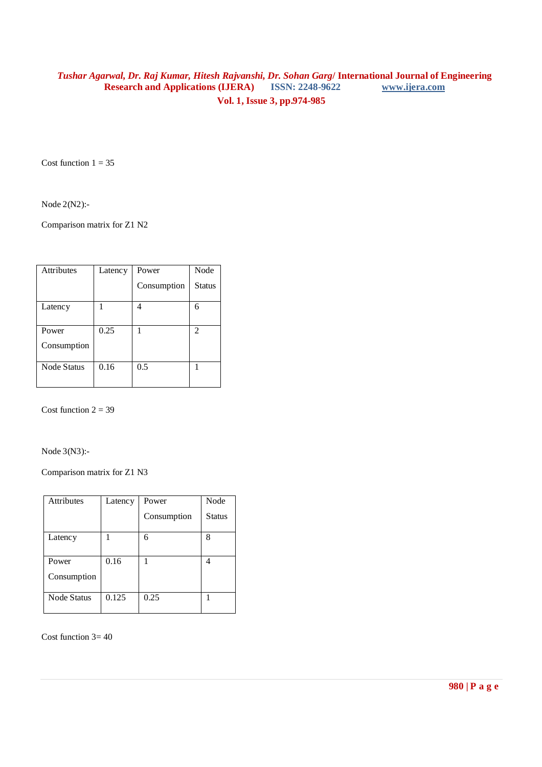Cost function  $1 = 35$ 

Node 2(N2):-

Comparison matrix for Z1 N2

| <b>Attributes</b>  | Latency | Power       | Node          |
|--------------------|---------|-------------|---------------|
|                    |         | Consumption | <b>Status</b> |
| Latency            |         |             | 6             |
| Power              | 0.25    |             | 2             |
| Consumption        |         |             |               |
| <b>Node Status</b> | 0.16    | 0.5         |               |

Cost function  $2 = 39$ 

Node 3(N3):-

Comparison matrix for Z1 N3

| <b>Attributes</b>  | Latency | Power       | Node          |
|--------------------|---------|-------------|---------------|
|                    |         | Consumption | <b>Status</b> |
| Latency            |         | 6           | 8             |
| Power              | 0.16    |             |               |
| Consumption        |         |             |               |
| <b>Node Status</b> | 0.125   | 0.25        |               |

Cost function  $3 = 40$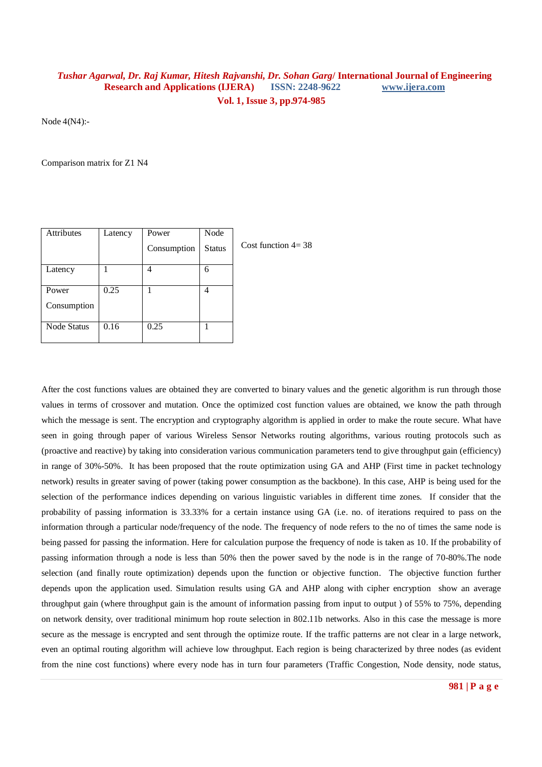Node 4(N4):-

Comparison matrix for Z1 N4

| Attributes  | Latency | Power       | Node          |  |
|-------------|---------|-------------|---------------|--|
|             |         | Consumption | <b>Status</b> |  |
| Latency     |         |             | 6             |  |
|             |         |             |               |  |
| Power       | 0.25    |             |               |  |
| Consumption |         |             |               |  |
| Node Status | 0.16    | 0.25        |               |  |
|             |         |             |               |  |

Cost function 4= 38

After the cost functions values are obtained they are converted to binary values and the genetic algorithm is run through those values in terms of crossover and mutation. Once the optimized cost function values are obtained, we know the path through which the message is sent. The encryption and cryptography algorithm is applied in order to make the route secure. What have seen in going through paper of various Wireless Sensor Networks routing algorithms, various routing protocols such as (proactive and reactive) by taking into consideration various communication parameters tend to give throughput gain (efficiency) in range of 30%-50%. It has been proposed that the route optimization using GA and AHP (First time in packet technology network) results in greater saving of power (taking power consumption as the backbone). In this case, AHP is being used for the selection of the performance indices depending on various linguistic variables in different time zones. If consider that the probability of passing information is 33.33% for a certain instance using GA (i.e. no. of iterations required to pass on the information through a particular node/frequency of the node. The frequency of node refers to the no of times the same node is being passed for passing the information. Here for calculation purpose the frequency of node is taken as 10. If the probability of passing information through a node is less than 50% then the power saved by the node is in the range of 70-80%.The node selection (and finally route optimization) depends upon the function or objective function. The objective function further depends upon the application used. Simulation results using GA and AHP along with cipher encryption show an average throughput gain (where throughput gain is the amount of information passing from input to output ) of 55% to 75%, depending on network density, over traditional minimum hop route selection in 802.11b networks. Also in this case the message is more secure as the message is encrypted and sent through the optimize route. If the traffic patterns are not clear in a large network, even an optimal routing algorithm will achieve low throughput. Each region is being characterized by three nodes (as evident from the nine cost functions) where every node has in turn four parameters (Traffic Congestion, Node density, node status,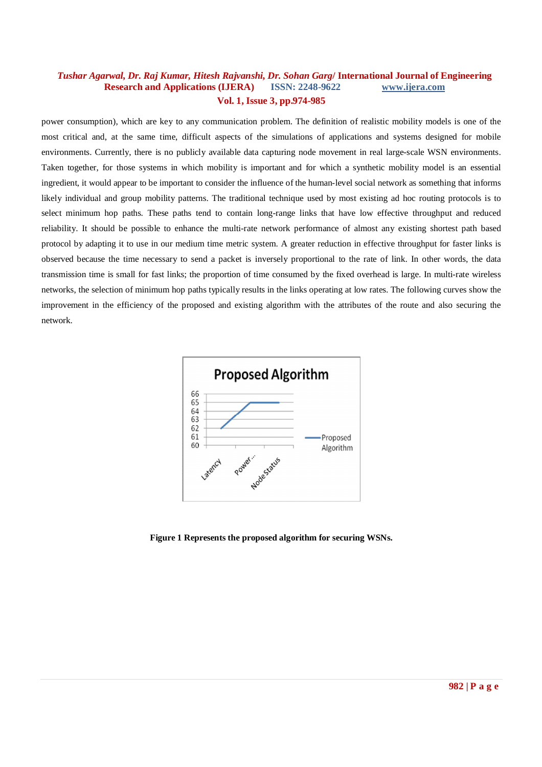power consumption), which are key to any communication problem. The definition of realistic mobility models is one of the most critical and, at the same time, difficult aspects of the simulations of applications and systems designed for mobile environments. Currently, there is no publicly available data capturing node movement in real large-scale WSN environments. Taken together, for those systems in which mobility is important and for which a synthetic mobility model is an essential ingredient, it would appear to be important to consider the influence of the human-level social network as something that informs likely individual and group mobility patterns. The traditional technique used by most existing ad hoc routing protocols is to select minimum hop paths. These paths tend to contain long-range links that have low effective throughput and reduced reliability. It should be possible to enhance the multi-rate network performance of almost any existing shortest path based protocol by adapting it to use in our medium time metric system. A greater reduction in effective throughput for faster links is observed because the time necessary to send a packet is inversely proportional to the rate of link. In other words, the data transmission time is small for fast links; the proportion of time consumed by the fixed overhead is large. In multi-rate wireless networks, the selection of minimum hop paths typically results in the links operating at low rates. The following curves show the improvement in the efficiency of the proposed and existing algorithm with the attributes of the route and also securing the network.



**Figure 1 Represents the proposed algorithm for securing WSNs.**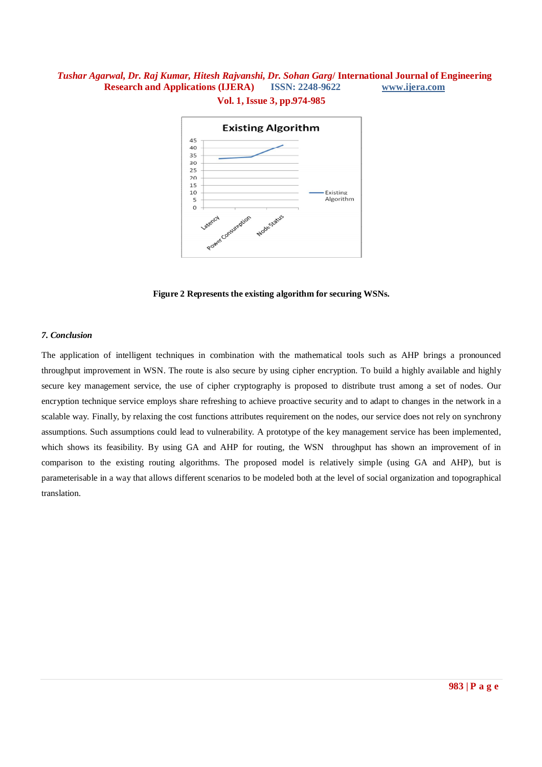

**Figure 2 Represents the existing algorithm for securing WSNs.**

### *7. Conclusion*

The application of intelligent techniques in combination with the mathematical tools such as AHP brings a pronounced throughput improvement in WSN. The route is also secure by using cipher encryption. To build a highly available and highly secure key management service, the use of cipher cryptography is proposed to distribute trust among a set of nodes. Our encryption technique service employs share refreshing to achieve proactive security and to adapt to changes in the network in a scalable way. Finally, by relaxing the cost functions attributes requirement on the nodes, our service does not rely on synchrony assumptions. Such assumptions could lead to vulnerability. A prototype of the key management service has been implemented, which shows its feasibility. By using GA and AHP for routing, the WSN throughput has shown an improvement of in comparison to the existing routing algorithms. The proposed model is relatively simple (using GA and AHP), but is parameterisable in a way that allows different scenarios to be modeled both at the level of social organization and topographical translation.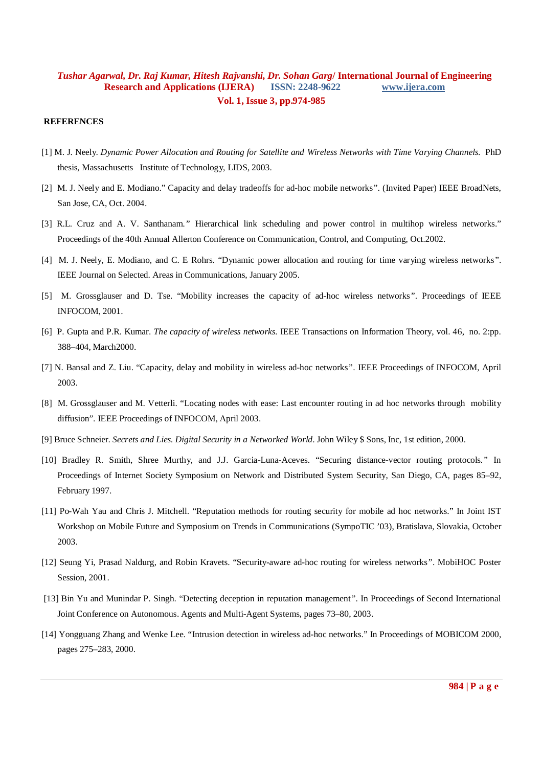#### **REFERENCES**

- [1] M. J. Neely. *Dynamic Power Allocation and Routing for Satellite and Wireless Networks with Time Varying Channels*. PhD thesis, Massachusetts Institute of Technology, LIDS, 2003.
- [2] M. J. Neely and E. Modiano." Capacity and delay tradeoffs for ad-hoc mobile networks*".* (Invited Paper) IEEE BroadNets, San Jose, CA, Oct. 2004.
- [3] R.L. Cruz and A. V. Santhanam*."* Hierarchical link scheduling and power control in multihop wireless networks." Proceedings of the 40th Annual Allerton Conference on Communication, Control, and Computing, Oct.2002.
- [4] M. J. Neely, E. Modiano, and C. E Rohrs. "Dynamic power allocation and routing for time varying wireless networks*"*. IEEE Journal on Selected. Areas in Communications, January 2005.
- [5] M. Grossglauser and D. Tse. "Mobility increases the capacity of ad-hoc wireless networks*"*. Proceedings of IEEE INFOCOM, 2001.
- [6] P. Gupta and P.R. Kumar. *The capacity of wireless networks.* IEEE Transactions on Information Theory, vol. 46, no. 2:pp. 388–404, March2000.
- [7] N. Bansal and Z. Liu. "Capacity, delay and mobility in wireless ad-hoc networks*"*. IEEE Proceedings of INFOCOM, April 2003.
- [8] M. Grossglauser and M. Vetterli. "Locating nodes with ease: Last encounter routing in ad hoc networks through mobility diffusion". IEEE Proceedings of INFOCOM, April 2003.
- [9] Bruce Schneier. *Secrets and Lies. Digital Security in a Networked World.* John Wiley \$ Sons, Inc, 1st edition, 2000.
- [10] Bradley R. Smith, Shree Murthy, and J.J. Garcia-Luna-Aceves. "Securing distance-vector routing protocols*."* In Proceedings of Internet Society Symposium on Network and Distributed System Security, San Diego, CA, pages 85–92, February 1997.
- [11] Po-Wah Yau and Chris J. Mitchell. "Reputation methods for routing security for mobile ad hoc networks." In Joint IST Workshop on Mobile Future and Symposium on Trends in Communications (SympoTIC '03), Bratislava, Slovakia, October 2003.
- [12] Seung Yi, Prasad Naldurg, and Robin Kravets. "Security-aware ad-hoc routing for wireless networks*"*. MobiHOC Poster Session, 2001.
- [13] Bin Yu and Munindar P. Singh. "Detecting deception in reputation management*"*. In Proceedings of Second International Joint Conference on Autonomous. Agents and Multi-Agent Systems, pages 73–80, 2003.
- [14] Yongguang Zhang and Wenke Lee. "Intrusion detection in wireless ad-hoc networks." In Proceedings of MOBICOM 2000, pages 275–283, 2000.